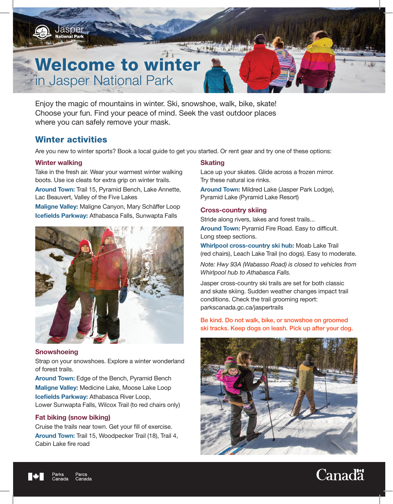

Enjoy the magic of mountains in winter. Ski, snowshoe, walk, bike, skate! Choose your fun. Find your peace of mind. Seek the vast outdoor places where you can safely remove your mask.

## Winter activities

Are you new to winter sports? Book a local guide to get you started. Or rent gear and try one of these options:

## Winter walking

Take in the fresh air. Wear your warmest winter walking boots. Use ice cleats for extra grip on winter trails.

Around Town: Trail 15, Pyramid Bench, Lake Annette, Lac Beauvert, Valley of the Five Lakes

Maligne Valley: Maligne Canyon, Mary Schäffer Loop Icefields Parkway: Athabasca Falls, Sunwapta Falls



## **Snowshoeing**

Strap on your snowshoes. Explore a winter wonderland of forest trails.

Around Town: Edge of the Bench, Pyramid Bench **Maligne Valley:** Medicine Lake, Moose Lake Loop Icefields Parkway: Athabasca River Loop, Lower Sunwapta Falls, Wilcox Trail (to red chairs only)

## Fat biking (snow biking)

Cruise the trails near town. Get your fill of exercise. Around Town: Trail 15, Woodpecker Trail (18), Trail 4, Cabin Lake fire road

## **Skating**

Lace up your skates. Glide across a frozen mirror. Try these natural ice rinks.

Around Town: Mildred Lake (Jasper Park Lodge), Pyramid Lake (Pyramid Lake Resort)

### Cross-country skiing

Stride along rivers, lakes and forest trails... Around Town: Pyramid Fire Road. Easy to difficult. Long steep sections.

Whirlpool cross-country ski hub: Moab Lake Trail (red chairs), Leach Lake Trail (no dogs). Easy to moderate.

*Note: Hwy 93A (Wabasso Road) is closed to vehicles from Whirlpool hub to Athabasca Falls.*

Jasper cross-country ski trails are set for both classic and skate skiing. Sudden weather changes impact trail conditions. Check the trail grooming report: parkscanada.gc.ca/jaspertrails

Be kind. Do not walk, bike, or snowshoe on groomed ski tracks. Keep dogs on leash. Pick up after your dog.



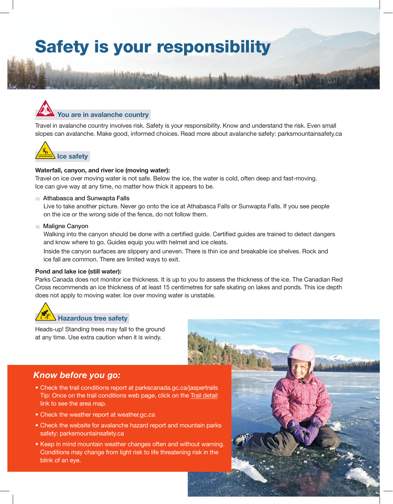## Safety is your responsibility



Travel in avalanche country involves risk. Safety is your responsibility. Know and understand the risk. Even small slopes can avalanche. Make good, informed choices. Read more about avalanche safety: parksmountainsafety.ca



#### Waterfall, canyon, and river ice (moving water):

Travel on ice over moving water is not safe. Below the ice, the water is cold, often deep and fast-moving. Ice can give way at any time, no matter how thick it appears to be.

#### $\approx$  Athabasca and Sunwapta Falls

Live to take another picture. Never go onto the ice at Athabasca Falls or Sunwapta Falls. If you see people on the ice or the wrong side of the fence, do not follow them.

#### $\approx$  Maligne Canyon

Walking into the canyon should be done with a certified guide. Certified guides are trained to detect dangers and know where to go. Guides equip you with helmet and ice cleats.

Inside the canyon surfaces are slippery and uneven. There is thin ice and breakable ice shelves. Rock and ice fall are common. There are limited ways to exit.

#### Pond and lake ice (still water):

Parks Canada does not monitor ice thickness. It is up to you to assess the thickness of the ice. The Canadian Red Cross recommends an ice thickness of at least 15 centimetres for safe skating on lakes and ponds. This ice depth does not apply to moving water. Ice over moving water is unstable.



Heads-up! Standing trees may fall to the ground at any time. Use extra caution when it is windy.

## *Know before you go:*

- Check the trail conditions report at parkscanada.gc.ca/jaspertrails Tip: Once on the trail conditions web page, click on the Trail detail link to see the area map.
- Check the weather report at weather.gc.ca
- Check the website for avalanche hazard report and mountain parks safety: parksmountainsafety.ca
- Keep in mind mountain weather changes often and without warning. Conditions may change from light risk to life threatening risk in the blink of an eye.

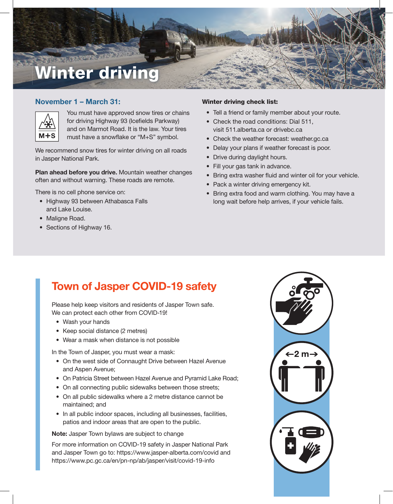

## November 1 – March 31:



You must have approved snow tires or chains for driving Highway 93 (Icefields Parkway) and on Marmot Road. It is the law. Your tires must have a snowflake or "M+S" symbol.

We recommend snow tires for winter driving on all roads in Jasper National Park.

Plan ahead before you drive. Mountain weather changes often and without warning. These roads are remote.

There is no cell phone service on:

- Highway 93 between Athabasca Falls and Lake Louise.
- Maligne Road.
- Sections of Highway 16.

#### Winter driving check list:

- Tell a friend or family member about your route.
- Check the road conditions: Dial 511, visit 511.alberta.ca or drivebc.ca
- Check the weather forecast: weather.gc.ca
- Delay your plans if weather forecast is poor.
- Drive during daylight hours.
- Fill your gas tank in advance.
- Bring extra washer fluid and winter oil for your vehicle.
- Pack a winter driving emergency kit.
- Bring extra food and warm clothing. You may have a long wait before help arrives, if your vehicle fails.

## Town of Jasper COVID-19 safety

Please help keep visitors and residents of Jasper Town safe. We can protect each other from COVID-19!

- Wash your hands
- Keep social distance (2 metres)
- Wear a mask when distance is not possible

In the Town of Jasper, you must wear a mask:

- On the west side of Connaught Drive between Hazel Avenue and Aspen Avenue;
- On Patricia Street between Hazel Avenue and Pyramid Lake Road;
- On all connecting public sidewalks between those streets;
- On all public sidewalks where a 2 metre distance cannot be maintained; and
- In all public indoor spaces, including all businesses, facilities, patios and indoor areas that are open to the public.

Note: Jasper Town bylaws are subject to change

For more information on COVID-19 safety in Jasper National Park and Jasper Town go to: https://www.jasper-alberta.com/covid and https://www.pc.gc.ca/en/pn-np/ab/jasper/visit/covid-19-info